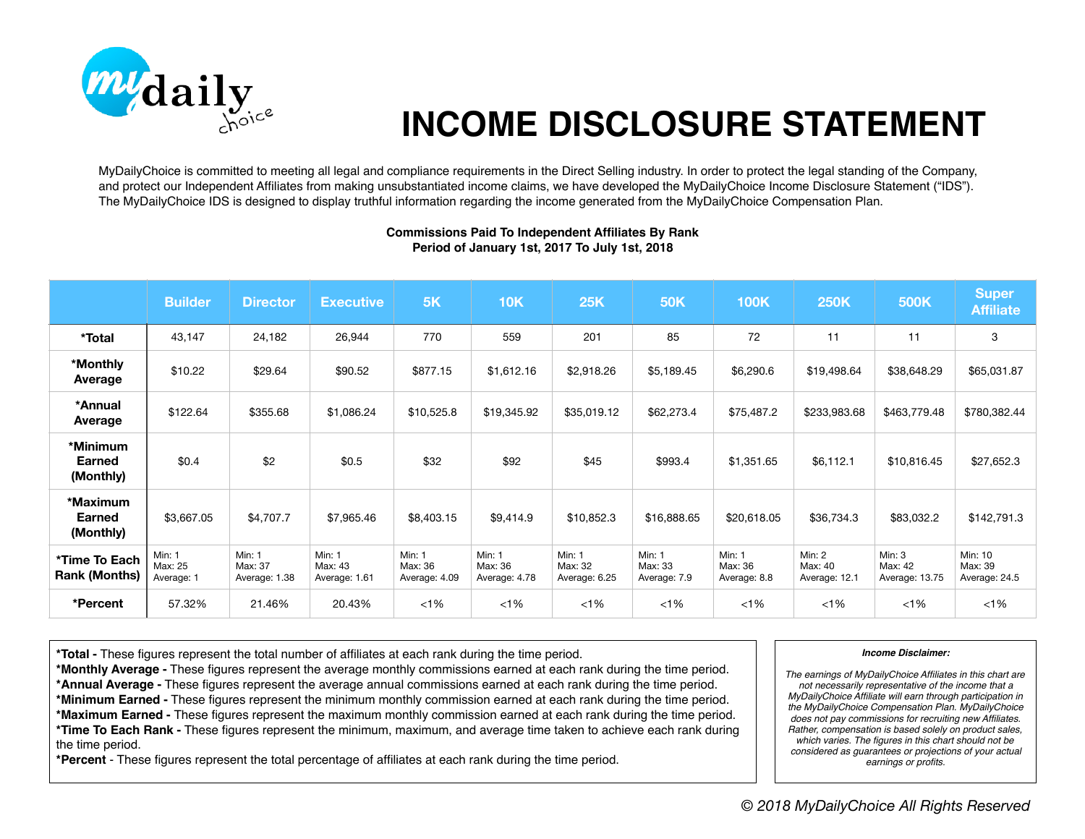

## **INCOME DISCLOSURE STATEMENT**

MyDailyChoice is committed to meeting all legal and compliance requirements in the Direct Selling industry. In order to protect the legal standing of the Company, and protect our Independent Affiliates from making unsubstantiated income claims, we have developed the MyDailyChoice Income Disclosure Statement ("IDS"). The MyDailyChoice IDS is designed to display truthful information regarding the income generated from the MyDailyChoice Compensation Plan.

|                                        | <b>Builder</b>                  | <b>Director</b>                           | <b>Executive</b>                   | 5K                                        | 10K                                | <b>25K</b>                         | <b>50K</b>                        | <b>100K</b>                              | <b>250K</b>                        | 500K                                | <b>Super</b><br><b>Affiliate</b>    |
|----------------------------------------|---------------------------------|-------------------------------------------|------------------------------------|-------------------------------------------|------------------------------------|------------------------------------|-----------------------------------|------------------------------------------|------------------------------------|-------------------------------------|-------------------------------------|
| *Total                                 | 43,147                          | 24,182                                    | 26,944                             | 770                                       | 559                                | 201                                | 85                                | 72                                       | 11                                 | 11                                  | 3                                   |
| *Monthly<br>Average                    | \$10.22                         | \$29.64                                   | \$90.52                            | \$877.15                                  | \$1,612.16                         | \$2,918.26                         | \$5,189.45                        | \$6,290.6                                | \$19,498.64                        | \$38,648.29                         | \$65,031.87                         |
| *Annual<br>Average                     | \$122.64                        | \$355.68                                  | \$1,086.24                         | \$10,525.8                                | \$19,345.92                        | \$35,019.12                        | \$62,273.4                        | \$75,487.2                               | \$233,983.68                       | \$463,779.48                        | \$780,382.44                        |
| *Minimum<br><b>Earned</b><br>(Monthly) | \$0.4                           | \$2                                       | \$0.5                              | \$32                                      | \$92                               | \$45                               | \$993.4                           | \$1,351.65                               | \$6,112.1                          | \$10,816.45                         | \$27,652.3                          |
| *Maximum<br>Earned<br>(Monthly)        | \$3,667.05                      | \$4,707.7                                 | \$7,965.46                         | \$8,403.15                                | \$9,414.9                          | \$10,852.3                         | \$16,888.65                       | \$20,618.05                              | \$36,734.3                         | \$83,032.2                          | \$142,791.3                         |
| *Time To Each<br><b>Rank (Months)</b>  | Min: 1<br>Max: 25<br>Average: 1 | <b>Min: 1</b><br>Max: 37<br>Average: 1.38 | Min: 1<br>Max: 43<br>Average: 1.61 | <b>Min: 1</b><br>Max: 36<br>Average: 4.09 | Min: 1<br>Max: 36<br>Average: 4.78 | Min: 1<br>Max: 32<br>Average: 6.25 | Min: 1<br>Max: 33<br>Average: 7.9 | <b>Min: 1</b><br>Max: 36<br>Average: 8.8 | Min: 2<br>Max: 40<br>Average: 12.1 | Min: 3<br>Max: 42<br>Average: 13.75 | Min: 10<br>Max: 39<br>Average: 24.5 |
| *Percent                               | 57.32%                          | 21.46%                                    | 20.43%                             | $<1\%$                                    | $<1\%$                             | $< 1\%$                            | $< 1\%$                           | $< 1\%$                                  | $< 1\%$                            | $< 1\%$                             | $<$ 1%                              |

## **Commissions Paid To Independent Affiliates By Rank Period of January 1st, 2017 To July 1st, 2018**

**\*Total -** These figures represent the total number of affiliates at each rank during the time period.

**\*Monthly Average -** These figures represent the average monthly commissions earned at each rank during the time period. **\*Annual Average -** These figures represent the average annual commissions earned at each rank during the time period. **\*Minimum Earned -** These figures represent the minimum monthly commission earned at each rank during the time period. **\*Maximum Earned -** These figures represent the maximum monthly commission earned at each rank during the time period. **\*Time To Each Rank -** These figures represent the minimum, maximum, and average time taken to achieve each rank during the time period.

**\*Percent** - These figures represent the total percentage of affiliates at each rank during the time period.

## *Income Disclaimer:*

*The earnings of MyDailyChoice Affiliates in this chart are not necessarily representative of the income that a MyDailyChoice Affiliate will earn through participation in the MyDailyChoice Compensation Plan. MyDailyChoice does not pay commissions for recruiting new Affiliates. Rather, compensation is based solely on product sales, which varies. The figures in this chart should not be considered as guarantees or projections of your actual earnings or profits.*